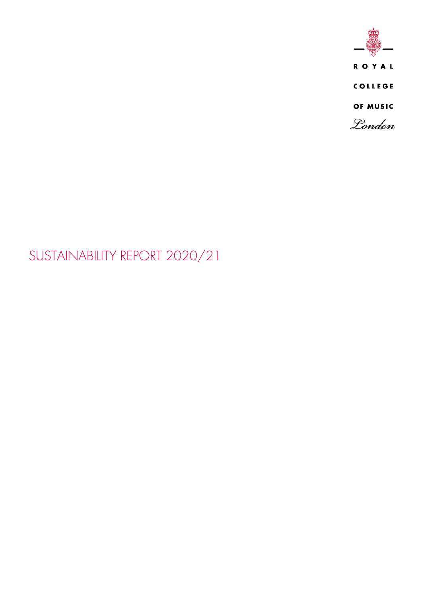

# SUSTAINABILITY REPORT 2020/21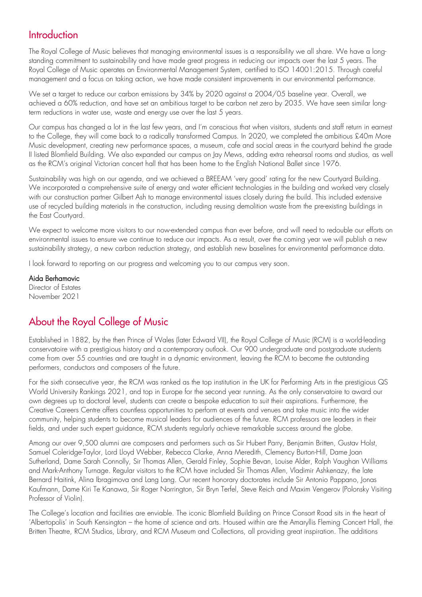# **Introduction**

The Royal College of Music believes that managing environmental issues is a responsibility we all share. We have a longstanding commitment to sustainability and have made great progress in reducing our impacts over the last 5 years. The Royal College of Music operates an Environmental Management System, certified to ISO 14001:2015. Through careful management and a focus on taking action, we have made consistent improvements in our environmental performance.

We set a target to reduce our carbon emissions by 34% by 2020 against a 2004/05 baseline year. Overall, we achieved a 60% reduction, and have set an ambitious target to be carbon net zero by 2035. We have seen similar longterm reductions in water use, waste and energy use over the last 5 years.

Our campus has changed a lot in the last few years, and I'm conscious that when visitors, students and staff return in earnest to the College, they will come back to a radically transformed Campus. In 2020, we completed the ambitious £40m More Music development, creating new performance spaces, a museum, cafe and social areas in the courtyard behind the grade II listed Blomfield Building. We also expanded our campus on Jay Mews, adding extra rehearsal rooms and studios, as well as the RCM's original Victorian concert hall that has been home to the English National Ballet since 1976.

Sustainability was high on our agenda, and we achieved a BREEAM 'very good' rating for the new Courtyard Building. We incorporated a comprehensive suite of energy and water efficient technologies in the building and worked very closely with our construction partner Gilbert Ash to manage environmental issues closely during the build. This included extensive use of recycled building materials in the construction, including reusing demolition waste from the pre-existing buildings in the East Courtyard.

We expect to welcome more visitors to our now-extended campus than ever before, and will need to redouble our efforts on environmental issues to ensure we continue to reduce our impacts. As a result, over the coming year we will publish a new sustainability strategy, a new carbon reduction strategy, and establish new baselines for environmental performance data.

I look forward to reporting on our progress and welcoming you to our campus very soon.

Aida Berhamovic Director of Estates November 2021

# About the Royal College of Music

Established in 1882, by the then Prince of Wales (later Edward VII), the Royal College of Music (RCM) is a world-leading conservatoire with a prestigious history and a contemporary outlook. Our 900 undergraduate and postgraduate students come from over 55 countries and are taught in a dynamic environment, leaving the RCM to become the outstanding performers, conductors and composers of the future.

For the sixth consecutive year, the RCM was ranked as the top institution in the UK for Performing Arts in the prestigious QS World University Rankings 2021, and top in Europe for the second year running. As the only conservatoire to award our own degrees up to doctoral level, students can create a bespoke education to suit their aspirations. Furthermore, the Creative Careers Centre offers countless opportunities to perform at events and venues and take music into the wider community, helping students to become musical leaders for audiences of the future. RCM professors are leaders in their fields, and under such expert guidance, RCM students regularly achieve remarkable success around the globe.

Among our over 9,500 alumni are composers and performers such as Sir Hubert Parry, Benjamin Britten, Gustav Holst, Samuel Coleridge-Taylor, Lord Lloyd Webber, Rebecca Clarke, Anna Meredith, Clemency Burton-Hill, Dame Joan Sutherland, Dame Sarah Connolly, Sir Thomas Allen, Gerald Finley, Sophie Bevan, Louise Alder, Ralph Vaughan Williams and Mark-Anthony Turnage. Regular visitors to the RCM have included Sir Thomas Allen, Vladimir Ashkenazy, the late Bernard Haitink, Alina Ibragimova and Lang Lang. Our recent honorary doctorates include Sir Antonio Pappano, Jonas Kaufmann, Dame Kiri Te Kanawa, Sir Roger Norrington, Sir Bryn Terfel, Steve Reich and Maxim Vengerov (Polonsky Visiting Professor of Violin).

The College's location and facilities are enviable. The iconic Blomfield Building on Prince Consort Road sits in the heart of 'Albertopolis' in South Kensington – the home of science and arts. Housed within are the Amaryllis Fleming Concert Hall, the Britten Theatre, RCM Studios, Library, and RCM Museum and Collections, all providing great inspiration. The additions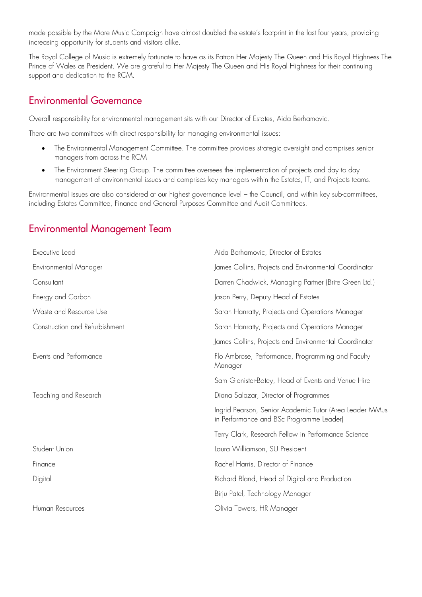made possible by the More Music Campaign have almost doubled the estate's footprint in the last four years, providing increasing opportunity for students and visitors alike.

The Royal College of Music is extremely fortunate to have as its Patron Her Majesty The Queen and His Royal Highness The Prince of Wales as President. We are grateful to Her Majesty The Queen and His Royal Highness for their continuing support and dedication to the RCM.

## Environmental Governance

Overall responsibility for environmental management sits with our Director of Estates, Aida Berhamovic.

There are two committees with direct responsibility for managing environmental issues:

- The Environmental Management Committee. The committee provides strategic oversight and comprises senior managers from across the RCM
- The Environment Steering Group. The committee oversees the implementation of projects and day to day management of environmental issues and comprises key managers within the Estates, IT, and Projects teams.

Environmental issues are also considered at our highest governance level – the Council, and within key sub-committees, including Estates Committee, Finance and General Purposes Committee and Audit Committees.

## Environmental Management Team

| Executive Lead                 | Aida Berhamovic, Director of Estates                                                                |
|--------------------------------|-----------------------------------------------------------------------------------------------------|
| Environmental Manager          | James Collins, Projects and Environmental Coordinator                                               |
| Consultant                     | Darren Chadwick, Managing Partner (Brite Green Ltd.)                                                |
| Energy and Carbon              | Jason Perry, Deputy Head of Estates                                                                 |
| Waste and Resource Use         | Sarah Hanratty, Projects and Operations Manager                                                     |
| Construction and Refurbishment | Sarah Hanratty, Projects and Operations Manager                                                     |
|                                | James Collins, Projects and Environmental Coordinator                                               |
| Events and Performance         | Flo Ambrose, Performance, Programming and Faculty<br>Manager                                        |
|                                | Sam Glenister-Batey, Head of Events and Venue Hire                                                  |
| Teaching and Research          | Diana Salazar, Director of Programmes                                                               |
|                                | Ingrid Pearson, Senior Academic Tutor (Area Leader MMus<br>in Performance and BSc Programme Leader) |
|                                | Terry Clark, Research Fellow in Performance Science                                                 |
| Student Union                  | Laura Williamson, SU President                                                                      |
| Finance                        | Rachel Harris, Director of Finance                                                                  |
| Digital                        | Richard Bland, Head of Digital and Production                                                       |
|                                | Birju Patel, Technology Manager                                                                     |
| Human Resources                | Olivia Towers, HR Manager                                                                           |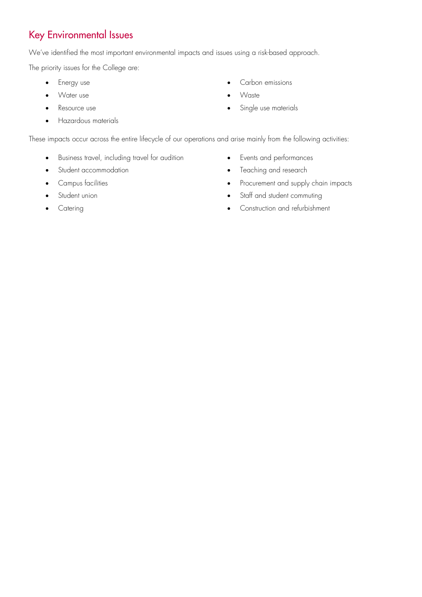# Key Environmental Issues

We've identified the most important environmental impacts and issues using a risk-based approach.

The priority issues for the College are:

- 
- 
- 
- Hazardous materials
- Energy use **•** Carbon emissions
	- Water use **•** Waste
	- Resource use Contract to the state of the Single use materials

These impacts occur across the entire lifecycle of our operations and arise mainly from the following activities:

- Business travel, including travel for audition
- Student accommodation
- Campus facilities
- Student union
- **Catering**
- Events and performances
- Teaching and research
- Procurement and supply chain impacts
- Staff and student commuting
- Construction and refurbishment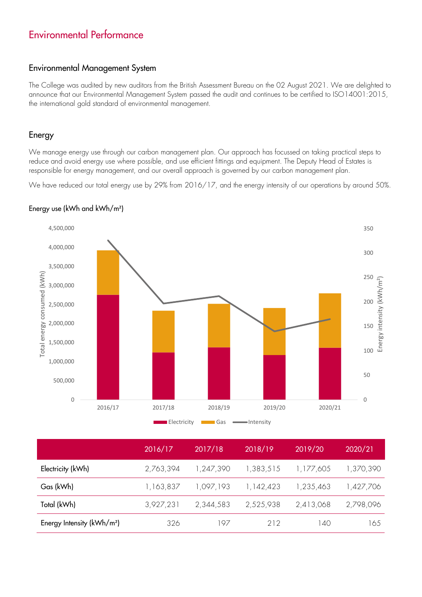# Environmental Performance

#### Environmental Management System

The College was audited by new auditors from the British Assessment Bureau on the 02 August 2021. We are delighted to announce that our Environmental Management System passed the audit and continues to be certified to ISO14001:2015, the international gold standard of environmental management.

#### Energy

We manage energy use through our carbon management plan. Our approach has focussed on taking practical steps to reduce and avoid energy use where possible, and use efficient fittings and equipment. The Deputy Head of Estates is responsible for energy management, and our overall approach is governed by our carbon management plan.

We have reduced our total energy use by 29% from 2016/17, and the energy intensity of our operations by around 50%.



#### Energy use (kWh and kWh/m²)

|                                | 2016/17   | 2017/18   | 2018/19   | 2019/20   | 2020/21   |
|--------------------------------|-----------|-----------|-----------|-----------|-----------|
| Electricity (kWh)              | 2,763,394 | 1,247,390 | 1,383,515 | 1,177,605 | 1,370,390 |
| Gas (kWh)                      | 1,163,837 | 1,097,193 | 1,142,423 | 1,235,463 | 1,427,706 |
| Total (kWh)                    | 3,927,231 | 2,344,583 | 2,525,938 | 2,413,068 | 2,798,096 |
| Energy Intensity ( $kWh/m^2$ ) | 326       | 197       | 212       | 140       | 165       |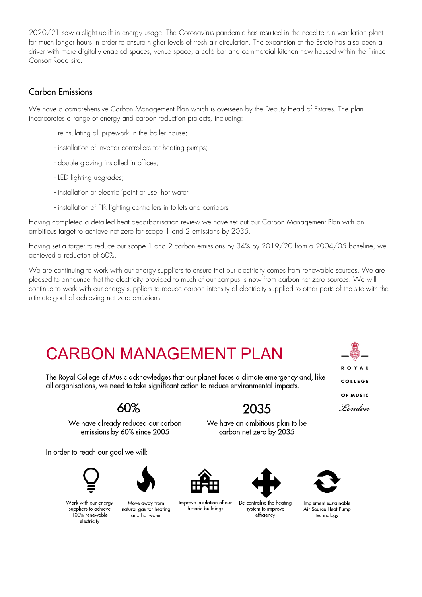2020/21 saw a slight uplift in energy usage. The Coronavirus pandemic has resulted in the need to run ventilation plant for much longer hours in order to ensure higher levels of fresh air circulation. The expansion of the Estate has also been a driver with more digitally enabled spaces, venue space, a café bar and commercial kitchen now housed within the Prince Consort Road site.

## Carbon Emissions

We have a comprehensive Carbon Management Plan which is overseen by the Deputy Head of Estates. The plan incorporates a range of energy and carbon reduction projects, including:

- reinsulating all pipework in the boiler house;
- installation of invertor controllers for heating pumps;
- double glazing installed in offices;
- LED lighting upgrades;
- installation of electric 'point of use' hot water
- installation of PIR lighting controllers in toilets and corridors

Having completed a detailed heat decarbonisation review we have set out our Carbon Management Plan with an ambitious target to achieve net zero for scope 1 and 2 emissions by 2035.

Having set a target to reduce our scope 1 and 2 carbon emissions by 34% by 2019/20 from a 2004/05 baseline, we achieved a reduction of 60%.

We are continuing to work with our energy suppliers to ensure that our electricity comes from renewable sources. We are pleased to announce that the electricity provided to much of our campus is now from carbon net zero sources. We will continue to work with our energy suppliers to reduce carbon intensity of electricity supplied to other parts of the site with the ultimate goal of achieving net zero emissions.

# **CARBON MANAGEMENT PLAN**

The Royal College of Music acknowledges that our planet faces a climate emergency and, like all organisations, we need to take significant action to reduce environmental impacts.



2035

We have an ambitious plan to be

carbon net zero by 2035

We have already reduced our carbon emissions by 60% since 2005

In order to reach our goal we will:





Work with our energy suppliers to achieve 100% renewable electricity

Move away from natural gas for heating and hot water



Improve insulation of our historic buildings



De-centralise the heating system to improve efficiency



Implement sustainable Air Source Heat Pump technology

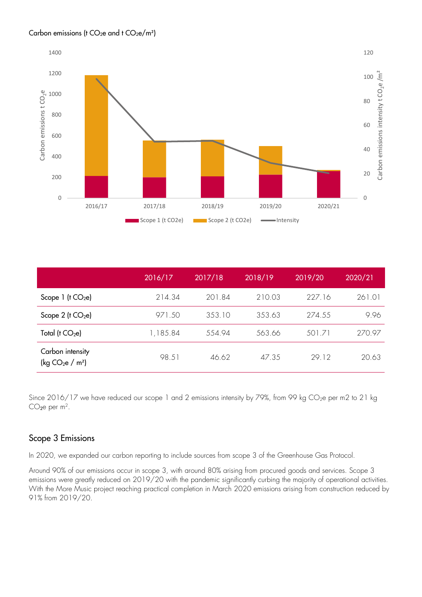#### Carbon emissions (t CO<sub>2</sub>e and t CO<sub>2</sub>e/m<sup>2</sup>)



|                                                   | 2016/17  | 2017/18 | 2018/19 | 2019/20 | 2020/21 |
|---------------------------------------------------|----------|---------|---------|---------|---------|
| Scope $1$ ( $t$ CO <sub>2</sub> e)                | 214.34   | 201.84  | 210.03  | 227.16  | 261.01  |
| Scope $2$ ( $t$ CO <sub>2</sub> e)                | 971.50   | 353.10  | 353.63  | 274.55  | 9.96    |
| Total ( $t$ CO <sub>2</sub> e)                    | 1,185.84 | 554.94  | 563.66  | 501.71  | 270.97  |
| Carbon intensity<br>(kg $CO2e$ / m <sup>2</sup> ) | 98.51    | 46.62   | 47.35   | 29.12   | 20.63   |

Since 2016/17 we have reduced our scope 1 and 2 emissions intensity by 79%, from 99 kg CO<sub>2</sub>e per m2 to 21 kg  $CO<sub>2</sub>e per m<sup>2</sup>.$ 

## Scope 3 Emissions

In 2020, we expanded our carbon reporting to include sources from scope 3 of the Greenhouse Gas Protocol.

Around 90% of our emissions occur in scope 3, with around 80% arising from procured goods and services. Scope 3 emissions were greatly reduced on 2019/20 with the pandemic significantly curbing the majority of operational activities. With the More Music project reaching practical completion in March 2020 emissions arising from construction reduced by 91% from 2019/20.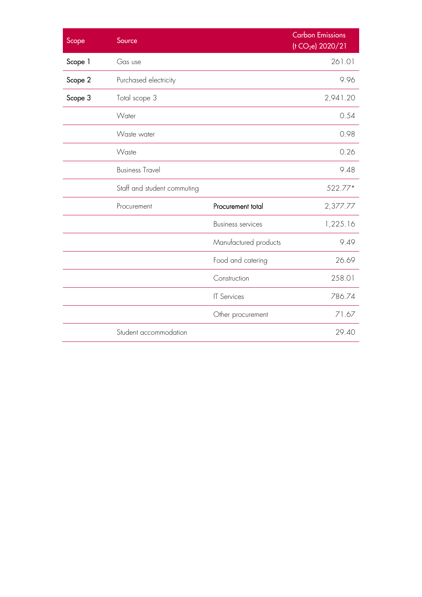| Scope   | Source                      |                          | <b>Carbon Emissions</b><br>(t CO <sub>2</sub> e) 2020/21 |
|---------|-----------------------------|--------------------------|----------------------------------------------------------|
| Scope 1 | Gas use                     |                          | 261.01                                                   |
| Scope 2 | Purchased electricity       |                          | 9.96                                                     |
| Scope 3 | Total scope 3               |                          | 2,941.20                                                 |
|         | Water                       |                          | 0.54                                                     |
|         | Waste water                 |                          | 0.98                                                     |
|         | Waste                       |                          | 0.26                                                     |
|         | <b>Business Travel</b>      |                          | 9.48                                                     |
|         | Staff and student commuting |                          | 522.77*                                                  |
|         | Procurement                 | Procurement total        | 2,377.77                                                 |
|         |                             | <b>Business services</b> | 1,225.16                                                 |
|         |                             | Manufactured products    | 9.49                                                     |
|         |                             | Food and catering        | 26.69                                                    |
|         |                             | Construction             | 258.01                                                   |
|         |                             | <b>IT Services</b>       | 786.74                                                   |
|         |                             | Other procurement        | 71.67                                                    |
|         | Student accommodation       |                          | 29.40                                                    |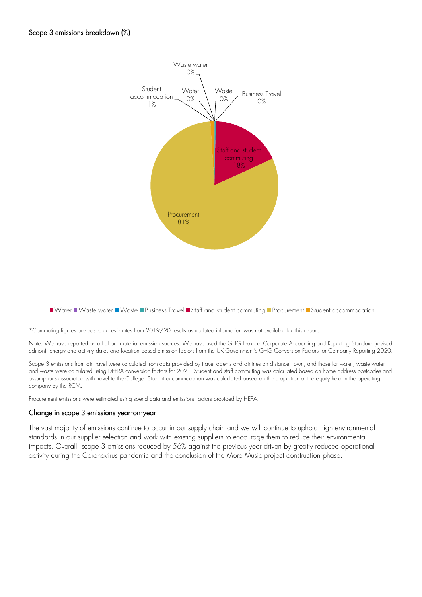

Water Waste water Waste Business Travel Staff and student commuting Procurement Student accommodation

\*Commuting figures are based on estimates from 2019/20 results as updated information was not available for this report.

Note: We have reported on all of our material emission sources. We have used the GHG Protocol Corporate Accounting and Reporting Standard (revised edition), energy and activity data, and location based emission factors from the UK Government's GHG Conversion Factors for Company Reporting 2020.

Scope 3 emissions from air travel were calculated from data provided by travel agents and airlines on distance flown, and those for water, waste water and waste were calculated using DEFRA conversion factors for 2021. Student and staff commuting was calculated based on home address postcodes and assumptions associated with travel to the College. Student accommodation was calculated based on the proportion of the equity held in the operating company by the RCM.

Procurement emissions were estimated using spend data and emissions factors provided by HEPA.

#### Change in scope 3 emissions year-on-year

The vast majority of emissions continue to occur in our supply chain and we will continue to uphold high environmental standards in our supplier selection and work with existing suppliers to encourage them to reduce their environmental impacts. Overall, scope 3 emissions reduced by 56% against the previous year driven by greatly reduced operational activity during the Coronavirus pandemic and the conclusion of the More Music project construction phase.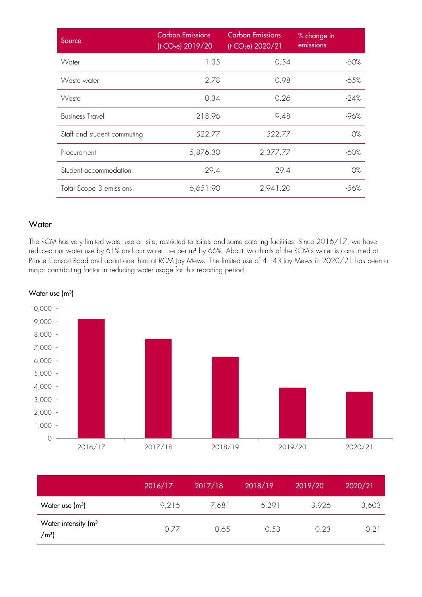| Source                      | <b>Carbon Emissions</b><br>(t CO <sub>2</sub> e) 2019/20 | <b>Carbon Emissions</b><br>(t CO <sub>2</sub> e) 2020/21 | % change in<br>emissions |
|-----------------------------|----------------------------------------------------------|----------------------------------------------------------|--------------------------|
| Water                       | 1.35                                                     | 0.54                                                     | -60%                     |
| Waste water                 | 2.78                                                     | 0.98                                                     | -65%                     |
| Waste                       | 0.34                                                     | 0.26                                                     | $-24%$                   |
| <b>Business Travel</b>      | 218.96                                                   | 9.48                                                     | $-96%$                   |
| Staff and student commuting | 522.77                                                   | 522.77                                                   | 0%                       |
| Procurement                 | 5,876.30                                                 | 2,377.77                                                 | -60%                     |
| Student accommodation       | 29.4                                                     | 29.4                                                     | 0%                       |
| Total Scope 3 emissions     | 6,651.90                                                 | 2,941.20                                                 | -56%                     |

## **Water**

The RCM has very limited water use on site, restricted to toilets and some catering facilities. Since 2016/17, we have reduced our water use by 61% and our water use per m² by 66%. About two thirds of the RCM's water is consumed at Prince Consort Road and about one third at RCM Jay Mews. The limited use of 41-43 Jay Mews in 2020/21 has been a major contributing factor in reducing water usage for this reporting period.



Water use  $(m<sup>3</sup>)$ 

|                                                  | 2016/17 | 2017/18 | 2018/19 | 2019/20 | 2020/21 |
|--------------------------------------------------|---------|---------|---------|---------|---------|
| Water use $(m^3)$                                | 9,216   | 7,681   | 6,291   | 3,926   | 3,603   |
| Water intensity (m <sup>3</sup><br>$\text{/}m^2$ | 0.77    | 0.65    | 0.53    | 0.23    | 0.21    |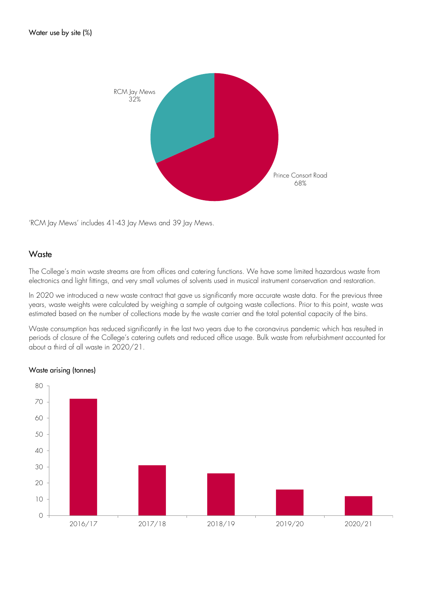

'RCM Jay Mews' includes 41-43 Jay Mews and 39 Jay Mews.

#### **Waste**

The College's main waste streams are from offices and catering functions. We have some limited hazardous waste from electronics and light fittings, and very small volumes of solvents used in musical instrument conservation and restoration.

In 2020 we introduced a new waste contract that gave us significantly more accurate waste data. For the previous three years, waste weights were calculated by weighing a sample of outgoing waste collections. Prior to this point, waste was estimated based on the number of collections made by the waste carrier and the total potential capacity of the bins.

Waste consumption has reduced significantly in the last two years due to the coronavirus pandemic which has resulted in periods of closure of the College's catering outlets and reduced office usage. Bulk waste from refurbishment accounted for about a third of all waste in 2020/21.



#### Waste arising (tonnes)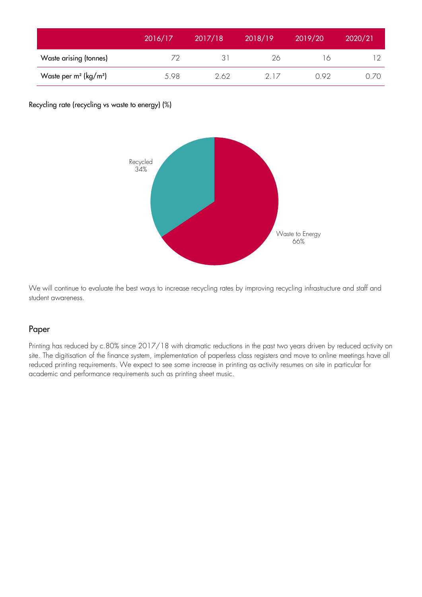|                                      | 2016/17 | 2017/18 | 2018/19 | 2019/20 | 2020/21 |
|--------------------------------------|---------|---------|---------|---------|---------|
| Waste arising (tonnes)               | 72      | 31      | 26      | 16      |         |
| Waste per $m^2$ (kg/m <sup>2</sup> ) | 5.98    | 2.62    | 21/     | 0.92    | 0.70    |

Recycling rate (recycling vs waste to energy) (%)



We will continue to evaluate the best ways to increase recycling rates by improving recycling infrastructure and staff and student awareness.

#### Paper

Printing has reduced by c.80% since 2017/18 with dramatic reductions in the past two years driven by reduced activity on site. The digitisation of the finance system, implementation of paperless class registers and move to online meetings have all reduced printing requirements. We expect to see some increase in printing as activity resumes on site in particular for academic and performance requirements such as printing sheet music.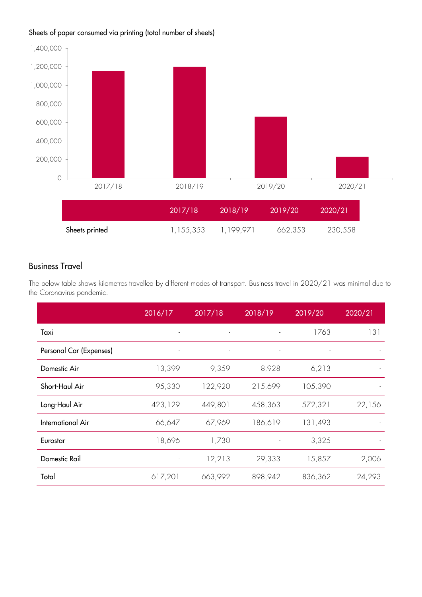### Sheets of paper consumed via printing (total number of sheets)



## Business Travel

The below table shows kilometres travelled by different modes of transport. Business travel in 2020/21 was minimal due to the Coronavirus pandemic.

|                         | 2016/17                  | 2017/18                  | 2018/19                  | 2019/20 | 2020/21 |
|-------------------------|--------------------------|--------------------------|--------------------------|---------|---------|
| Taxi                    | $\overline{\phantom{a}}$ | $\sim$                   | $\overline{\phantom{a}}$ | 1763    | 131     |
| Personal Car (Expenses) | $\overline{\phantom{a}}$ | $\overline{\phantom{a}}$ |                          |         |         |
| Domestic Air            | 13,399                   | 9,359                    | 8,928                    | 6,213   |         |
| Short-Haul Air          | 95,330                   | 122,920                  | 215,699                  | 105,390 |         |
| Long-Haul Air           | 423,129                  | 449,801                  | 458,363                  | 572,321 | 22,156  |
| International Air       | 66,647                   | 67,969                   | 186,619                  | 131,493 |         |
| Eurostar                | 18,696                   | 1,730                    |                          | 3,325   |         |
| <b>Domestic Rail</b>    | $\overline{\phantom{m}}$ | 12,213                   | 29,333                   | 15,857  | 2,006   |
| Total                   | 617,201                  | 663,992                  | 898,942                  | 836,362 | 24,293  |